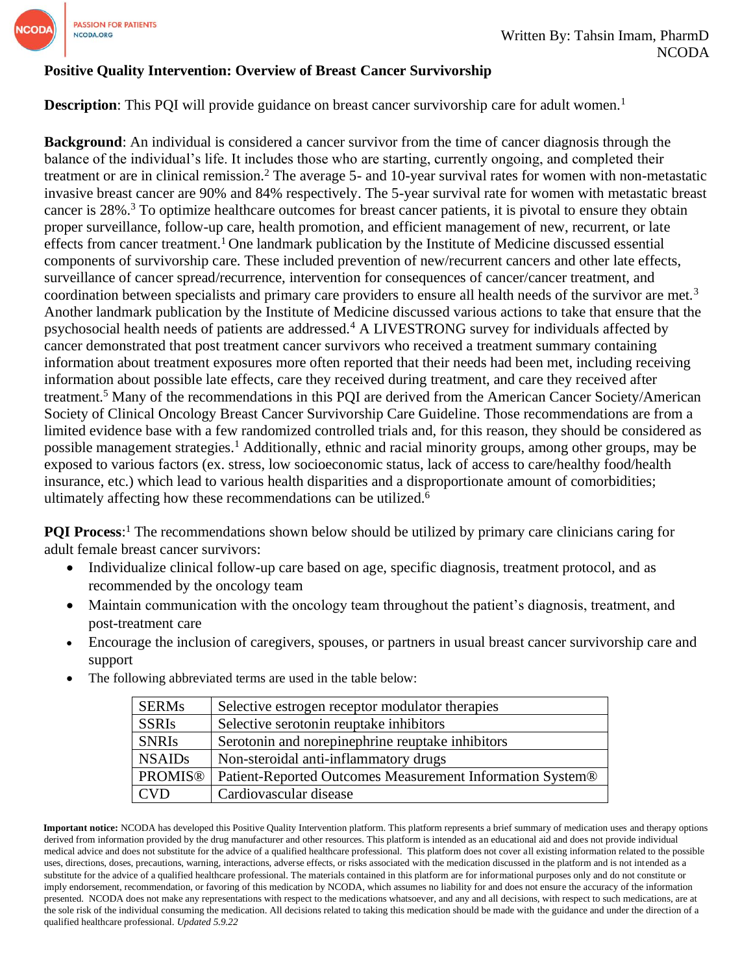

#### **Positive Quality Intervention: Overview of Breast Cancer Survivorship**

**Description**: This PQI will provide guidance on breast cancer survivorship care for adult women.<sup>1</sup>

**Background**: An individual is considered a cancer survivor from the time of cancer diagnosis through the balance of the individual's life. It includes those who are starting, currently ongoing, and completed their treatment or are in clinical remission.<sup>2</sup> The average 5- and 10-year survival rates for women with non-metastatic invasive breast cancer are 90% and 84% respectively. The 5-year survival rate for women with metastatic breast cancer is 28%.<sup>3</sup> To optimize healthcare outcomes for breast cancer patients, it is pivotal to ensure they obtain proper surveillance, follow-up care, health promotion, and efficient management of new, recurrent, or late effects from cancer treatment.<sup>1</sup> One landmark publication by the Institute of Medicine discussed essential components of survivorship care. These included prevention of new/recurrent cancers and other late effects, surveillance of cancer spread/recurrence, intervention for consequences of cancer/cancer treatment, and coordination between specialists and primary care providers to ensure all health needs of the survivor are met.<sup>3</sup> Another landmark publication by the Institute of Medicine discussed various actions to take that ensure that the psychosocial health needs of patients are addressed.<sup>4</sup> A LIVESTRONG survey for individuals affected by cancer demonstrated that post treatment cancer survivors who received a treatment summary containing information about treatment exposures more often reported that their needs had been met, including receiving information about possible late effects, care they received during treatment, and care they received after treatment.<sup>5</sup> Many of the recommendations in this PQI are derived from the American Cancer Society/American Society of Clinical Oncology Breast Cancer Survivorship Care Guideline. Those recommendations are from a limited evidence base with a few randomized controlled trials and, for this reason, they should be considered as possible management strategies.<sup>1</sup> Additionally, ethnic and racial minority groups, among other groups, may be exposed to various factors (ex. stress, low socioeconomic status, lack of access to care/healthy food/health insurance, etc.) which lead to various health disparities and a disproportionate amount of comorbidities; ultimately affecting how these recommendations can be utilized. 6

**PQI Process:**<sup>1</sup> The recommendations shown below should be utilized by primary care clinicians caring for adult female breast cancer survivors:

- Individualize clinical follow-up care based on age, specific diagnosis, treatment protocol, and as recommended by the oncology team
- Maintain communication with the oncology team throughout the patient's diagnosis, treatment, and post-treatment care
- Encourage the inclusion of caregivers, spouses, or partners in usual breast cancer survivorship care and support

| <b>SERMs</b>   | Selective estrogen receptor modulator therapies           |
|----------------|-----------------------------------------------------------|
| <b>SSRIs</b>   | Selective serotonin reuptake inhibitors                   |
| <b>SNRIs</b>   | Serotonin and norepinephrine reuptake inhibitors          |
| <b>NSAIDs</b>  | Non-steroidal anti-inflammatory drugs                     |
| <b>PROMIS®</b> | Patient-Reported Outcomes Measurement Information System® |
| <b>CVD</b>     | Cardiovascular disease                                    |

The following abbreviated terms are used in the table below:

**Important notice:** NCODA has developed this Positive Quality Intervention platform. This platform represents a brief summary of medication uses and therapy options derived from information provided by the drug manufacturer and other resources. This platform is intended as an educational aid and does not provide individual medical advice and does not substitute for the advice of a qualified healthcare professional. This platform does not cover all existing information related to the possible uses, directions, doses, precautions, warning, interactions, adverse effects, or risks associated with the medication discussed in the platform and is not intended as a substitute for the advice of a qualified healthcare professional. The materials contained in this platform are for informational purposes only and do not constitute or imply endorsement, recommendation, or favoring of this medication by NCODA, which assumes no liability for and does not ensure the accuracy of the information presented. NCODA does not make any representations with respect to the medications whatsoever, and any and all decisions, with respect to such medications, are at the sole risk of the individual consuming the medication. All decisions related to taking this medication should be made with the guidance and under the direction of a qualified healthcare professional. *Updated 5.9.22*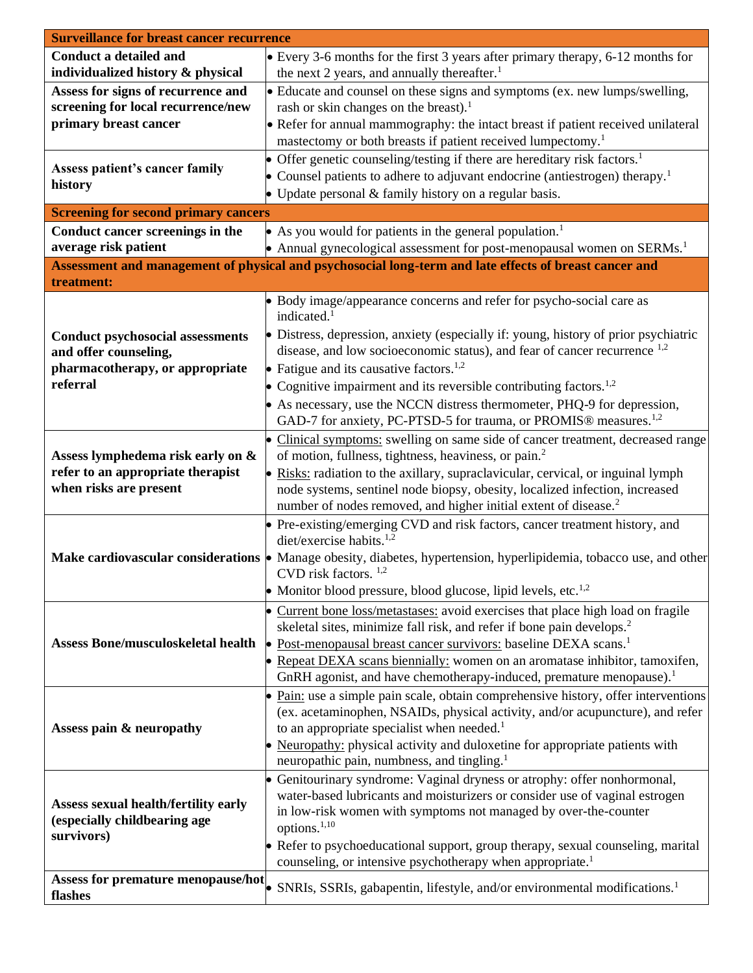| <b>Surveillance for breast cancer recurrence</b>                                                       |                                                                                                                     |  |  |
|--------------------------------------------------------------------------------------------------------|---------------------------------------------------------------------------------------------------------------------|--|--|
| <b>Conduct a detailed and</b>                                                                          | • Every 3-6 months for the first 3 years after primary therapy, 6-12 months for                                     |  |  |
| individualized history & physical                                                                      | the next 2 years, and annually thereafter. <sup>1</sup>                                                             |  |  |
| Assess for signs of recurrence and                                                                     | • Educate and counsel on these signs and symptoms (ex. new lumps/swelling,                                          |  |  |
| screening for local recurrence/new                                                                     | rash or skin changes on the breast). <sup>1</sup>                                                                   |  |  |
| primary breast cancer                                                                                  | • Refer for annual mammography: the intact breast if patient received unilateral                                    |  |  |
|                                                                                                        | mastectomy or both breasts if patient received lumpectomy. <sup>1</sup>                                             |  |  |
|                                                                                                        |                                                                                                                     |  |  |
| Assess patient's cancer family                                                                         | • Offer genetic counseling/testing if there are hereditary risk factors. <sup>1</sup>                               |  |  |
| history                                                                                                | • Counsel patients to adhere to adjuvant endocrine (antiestrogen) therapy. <sup>1</sup>                             |  |  |
|                                                                                                        | • Update personal $&$ family history on a regular basis.                                                            |  |  |
| <b>Screening for second primary cancers</b>                                                            |                                                                                                                     |  |  |
| Conduct cancer screenings in the                                                                       | • As you would for patients in the general population. <sup>1</sup>                                                 |  |  |
| average risk patient                                                                                   | • Annual gynecological assessment for post-menopausal women on SERMs. <sup>1</sup>                                  |  |  |
|                                                                                                        |                                                                                                                     |  |  |
| Assessment and management of physical and psychosocial long-term and late effects of breast cancer and |                                                                                                                     |  |  |
| treatment:                                                                                             |                                                                                                                     |  |  |
|                                                                                                        | • Body image/appearance concerns and refer for psycho-social care as                                                |  |  |
|                                                                                                        | indicated. <sup>1</sup>                                                                                             |  |  |
| <b>Conduct psychosocial assessments</b>                                                                | • Distress, depression, anxiety (especially if: young, history of prior psychiatric                                 |  |  |
| and offer counseling,                                                                                  | disease, and low socioeconomic status), and fear of cancer recurrence <sup>1,2</sup>                                |  |  |
| pharmacotherapy, or appropriate                                                                        | • Fatigue and its causative factors. <sup>1,2</sup>                                                                 |  |  |
| referral                                                                                               | • Cognitive impairment and its reversible contributing factors. <sup>1,2</sup>                                      |  |  |
|                                                                                                        | • As necessary, use the NCCN distress thermometer, PHQ-9 for depression,                                            |  |  |
|                                                                                                        | GAD-7 for anxiety, PC-PTSD-5 for trauma, or PROMIS® measures. <sup>1,2</sup>                                        |  |  |
|                                                                                                        | • Clinical symptoms: swelling on same side of cancer treatment, decreased range                                     |  |  |
|                                                                                                        | of motion, fullness, tightness, heaviness, or pain. <sup>2</sup>                                                    |  |  |
| Assess lymphedema risk early on &                                                                      |                                                                                                                     |  |  |
| refer to an appropriate therapist                                                                      | • Risks: radiation to the axillary, supraclavicular, cervical, or inguinal lymph                                    |  |  |
| when risks are present                                                                                 | node systems, sentinel node biopsy, obesity, localized infection, increased                                         |  |  |
|                                                                                                        | number of nodes removed, and higher initial extent of disease. <sup>2</sup>                                         |  |  |
|                                                                                                        | • Pre-existing/emerging CVD and risk factors, cancer treatment history, and                                         |  |  |
|                                                                                                        | diet/exercise habits. <sup>1,2</sup>                                                                                |  |  |
|                                                                                                        | Make cardiovascular considerations • Manage obesity, diabetes, hypertension, hyperlipidemia, tobacco use, and other |  |  |
|                                                                                                        | CVD risk factors. <sup>1,2</sup>                                                                                    |  |  |
|                                                                                                        | • Monitor blood pressure, blood glucose, lipid levels, etc. $^{1,2}$                                                |  |  |
|                                                                                                        | • Current bone loss/metastases: avoid exercises that place high load on fragile                                     |  |  |
|                                                                                                        | skeletal sites, minimize fall risk, and refer if bone pain develops. <sup>2</sup>                                   |  |  |
| <b>Assess Bone/musculoskeletal health</b>                                                              | Post-menopausal breast cancer survivors: baseline DEXA scans. <sup>1</sup>                                          |  |  |
|                                                                                                        | • Repeat DEXA scans biennially: women on an aromatase inhibitor, tamoxifen,                                         |  |  |
|                                                                                                        | GnRH agonist, and have chemotherapy-induced, premature menopause). <sup>1</sup>                                     |  |  |
|                                                                                                        |                                                                                                                     |  |  |
|                                                                                                        | $\bullet$ Pain: use a simple pain scale, obtain comprehensive history, offer interventions                          |  |  |
|                                                                                                        | (ex. acetaminophen, NSAIDs, physical activity, and/or acupuncture), and refer                                       |  |  |
| Assess pain & neuropathy                                                                               | to an appropriate specialist when needed. <sup>1</sup>                                                              |  |  |
|                                                                                                        | Neuropathy: physical activity and duloxetine for appropriate patients with                                          |  |  |
|                                                                                                        | neuropathic pain, numbness, and tingling. <sup>1</sup>                                                              |  |  |
|                                                                                                        | • Genitourinary syndrome: Vaginal dryness or atrophy: offer nonhormonal,                                            |  |  |
| <b>Assess sexual health/fertility early</b>                                                            | water-based lubricants and moisturizers or consider use of vaginal estrogen                                         |  |  |
| (especially childbearing age                                                                           | in low-risk women with symptoms not managed by over-the-counter                                                     |  |  |
| survivors)                                                                                             | options. <sup>1,10</sup>                                                                                            |  |  |
|                                                                                                        | • Refer to psychoeducational support, group therapy, sexual counseling, marital                                     |  |  |
|                                                                                                        | counseling, or intensive psychotherapy when appropriate. <sup>1</sup>                                               |  |  |
| Assess for premature menopause/hot                                                                     |                                                                                                                     |  |  |
| flashes                                                                                                | SNRIs, SSRIs, gabapentin, lifestyle, and/or environmental modifications. <sup>1</sup>                               |  |  |